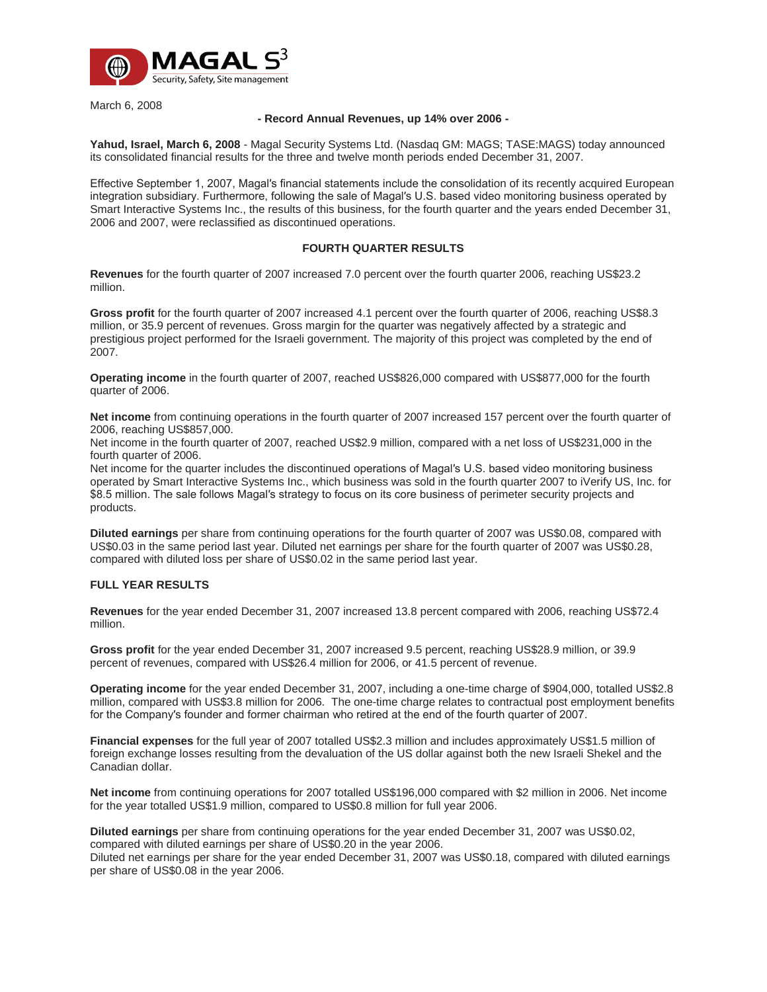

March 6, 2008

## **- Record Annual Revenues, up 14% over 2006 -**

**Yahud, Israel, March 6, 2008** - Magal Security Systems Ltd. (Nasdaq GM: MAGS; TASE:MAGS) today announced its consolidated financial results for the three and twelve month periods ended December 31, 2007.

Effective September 1, 2007, Magal′s financial statements include the consolidation of its recently acquired European integration subsidiary. Furthermore, following the sale of Magal′s U.S. based video monitoring business operated by Smart Interactive Systems Inc., the results of this business, for the fourth quarter and the years ended December 31, 2006 and 2007, were reclassified as discontinued operations.

## **FOURTH QUARTER RESULTS**

**Revenues** for the fourth quarter of 2007 increased 7.0 percent over the fourth quarter 2006, reaching US\$23.2 million.

**Gross profit** for the fourth quarter of 2007 increased 4.1 percent over the fourth quarter of 2006, reaching US\$8.3 million, or 35.9 percent of revenues. Gross margin for the quarter was negatively affected by a strategic and prestigious project performed for the Israeli government. The majority of this project was completed by the end of 2007.

**Operating income** in the fourth quarter of 2007, reached US\$826,000 compared with US\$877,000 for the fourth quarter of 2006.

**Net income** from continuing operations in the fourth quarter of 2007 increased 157 percent over the fourth quarter of 2006, reaching US\$857,000.

Net income in the fourth quarter of 2007, reached US\$2.9 million, compared with a net loss of US\$231,000 in the fourth quarter of 2006.

Net income for the quarter includes the discontinued operations of Magal′s U.S. based video monitoring business operated by Smart Interactive Systems Inc., which business was sold in the fourth quarter 2007 to iVerify US, Inc. for \$8.5 million. The sale follows Magal′s strategy to focus on its core business of perimeter security projects and products.

**Diluted earnings** per share from continuing operations for the fourth quarter of 2007 was US\$0.08, compared with US\$0.03 in the same period last year. Diluted net earnings per share for the fourth quarter of 2007 was US\$0.28, compared with diluted loss per share of US\$0.02 in the same period last year.

## **FULL YEAR RESULTS**

**Revenues** for the year ended December 31, 2007 increased 13.8 percent compared with 2006, reaching US\$72.4 million.

**Gross profit** for the year ended December 31, 2007 increased 9.5 percent, reaching US\$28.9 million, or 39.9 percent of revenues, compared with US\$26.4 million for 2006, or 41.5 percent of revenue.

**Operating income** for the year ended December 31, 2007, including a one-time charge of \$904,000, totalled US\$2.8 million, compared with US\$3.8 million for 2006. The one-time charge relates to contractual post employment benefits for the Company′s founder and former chairman who retired at the end of the fourth quarter of 2007.

**Financial expenses** for the full year of 2007 totalled US\$2.3 million and includes approximately US\$1.5 million of foreign exchange losses resulting from the devaluation of the US dollar against both the new Israeli Shekel and the Canadian dollar.

**Net income** from continuing operations for 2007 totalled US\$196,000 compared with \$2 million in 2006. Net income for the year totalled US\$1.9 million, compared to US\$0.8 million for full year 2006.

**Diluted earnings** per share from continuing operations for the year ended December 31, 2007 was US\$0.02, compared with diluted earnings per share of US\$0.20 in the year 2006.

Diluted net earnings per share for the year ended December 31, 2007 was US\$0.18, compared with diluted earnings per share of US\$0.08 in the year 2006.